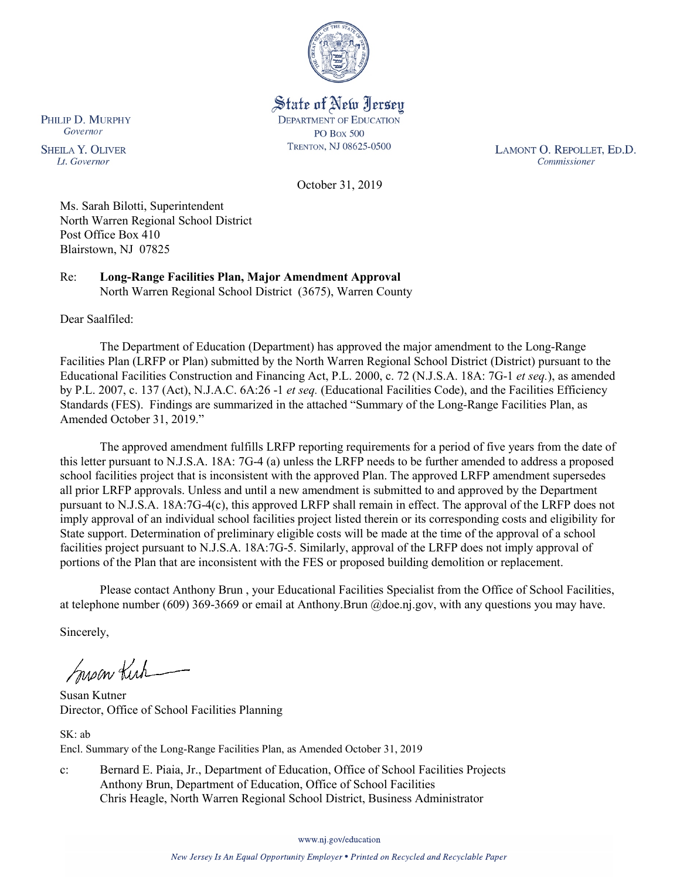

State of New Jersey **DEPARTMENT OF EDUCATION PO Box 500** TRENTON, NJ 08625-0500

LAMONT O. REPOLLET, ED.D. Commissioner

October 31, 2019

Ms. Sarah Bilotti, Superintendent North Warren Regional School District Post Office Box 410 Blairstown, NJ 07825

Re: **Long-Range Facilities Plan, Major Amendment Approval** North Warren Regional School District (3675), Warren County

Dear Saalfiled:

The Department of Education (Department) has approved the major amendment to the Long-Range Facilities Plan (LRFP or Plan) submitted by the North Warren Regional School District (District) pursuant to the Educational Facilities Construction and Financing Act, P.L. 2000, c. 72 (N.J.S.A. 18A: 7G-1 *et seq.*), as amended by P.L. 2007, c. 137 (Act), N.J.A.C. 6A:26 -1 *et seq.* (Educational Facilities Code), and the Facilities Efficiency Standards (FES). Findings are summarized in the attached "Summary of the Long-Range Facilities Plan, as Amended October 31, 2019."

The approved amendment fulfills LRFP reporting requirements for a period of five years from the date of this letter pursuant to N.J.S.A. 18A: 7G-4 (a) unless the LRFP needs to be further amended to address a proposed school facilities project that is inconsistent with the approved Plan. The approved LRFP amendment supersedes all prior LRFP approvals. Unless and until a new amendment is submitted to and approved by the Department pursuant to N.J.S.A. 18A:7G-4(c), this approved LRFP shall remain in effect. The approval of the LRFP does not imply approval of an individual school facilities project listed therein or its corresponding costs and eligibility for State support. Determination of preliminary eligible costs will be made at the time of the approval of a school facilities project pursuant to N.J.S.A. 18A:7G-5. Similarly, approval of the LRFP does not imply approval of portions of the Plan that are inconsistent with the FES or proposed building demolition or replacement.

Please contact Anthony Brun , your Educational Facilities Specialist from the Office of School Facilities, at telephone number (609) 369-3669 or email at Anthony.Brun @doe.nj.gov, with any questions you may have.

Sincerely,

Suson Kich

Susan Kutner Director, Office of School Facilities Planning

SK: ab Encl. Summary of the Long-Range Facilities Plan, as Amended October 31, 2019

c: Bernard E. Piaia, Jr., Department of Education, Office of School Facilities Projects Anthony Brun, Department of Education, Office of School Facilities Chris Heagle, North Warren Regional School District, Business Administrator

www.nj.gov/education

PHILIP D. MURPHY Governor

**SHEILA Y. OLIVER** Lt. Governor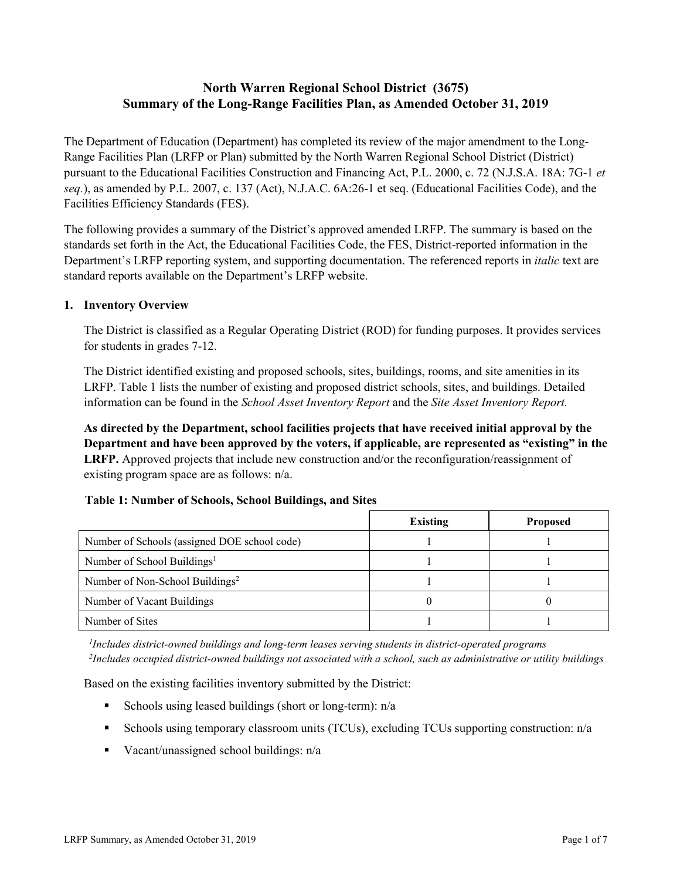# **North Warren Regional School District (3675) Summary of the Long-Range Facilities Plan, as Amended October 31, 2019**

The Department of Education (Department) has completed its review of the major amendment to the Long-Range Facilities Plan (LRFP or Plan) submitted by the North Warren Regional School District (District) pursuant to the Educational Facilities Construction and Financing Act, P.L. 2000, c. 72 (N.J.S.A. 18A: 7G-1 *et seq.*), as amended by P.L. 2007, c. 137 (Act), N.J.A.C. 6A:26-1 et seq. (Educational Facilities Code), and the Facilities Efficiency Standards (FES).

The following provides a summary of the District's approved amended LRFP. The summary is based on the standards set forth in the Act, the Educational Facilities Code, the FES, District-reported information in the Department's LRFP reporting system, and supporting documentation. The referenced reports in *italic* text are standard reports available on the Department's LRFP website.

#### **1. Inventory Overview**

The District is classified as a Regular Operating District (ROD) for funding purposes. It provides services for students in grades 7-12.

The District identified existing and proposed schools, sites, buildings, rooms, and site amenities in its LRFP. Table 1 lists the number of existing and proposed district schools, sites, and buildings. Detailed information can be found in the *School Asset Inventory Report* and the *Site Asset Inventory Report.*

**As directed by the Department, school facilities projects that have received initial approval by the Department and have been approved by the voters, if applicable, are represented as "existing" in the LRFP.** Approved projects that include new construction and/or the reconfiguration/reassignment of existing program space are as follows: n/a.

# **Table 1: Number of Schools, School Buildings, and Sites**

|                                              | <b>Existing</b> | <b>Proposed</b> |
|----------------------------------------------|-----------------|-----------------|
| Number of Schools (assigned DOE school code) |                 |                 |
| Number of School Buildings <sup>1</sup>      |                 |                 |
| Number of Non-School Buildings <sup>2</sup>  |                 |                 |
| Number of Vacant Buildings                   |                 |                 |
| Number of Sites                              |                 |                 |

*1 Includes district-owned buildings and long-term leases serving students in district-operated programs 2 Includes occupied district-owned buildings not associated with a school, such as administrative or utility buildings*

Based on the existing facilities inventory submitted by the District:

- Schools using leased buildings (short or long-term):  $n/a$
- Schools using temporary classroom units (TCUs), excluding TCUs supporting construction: n/a
- Vacant/unassigned school buildings:  $n/a$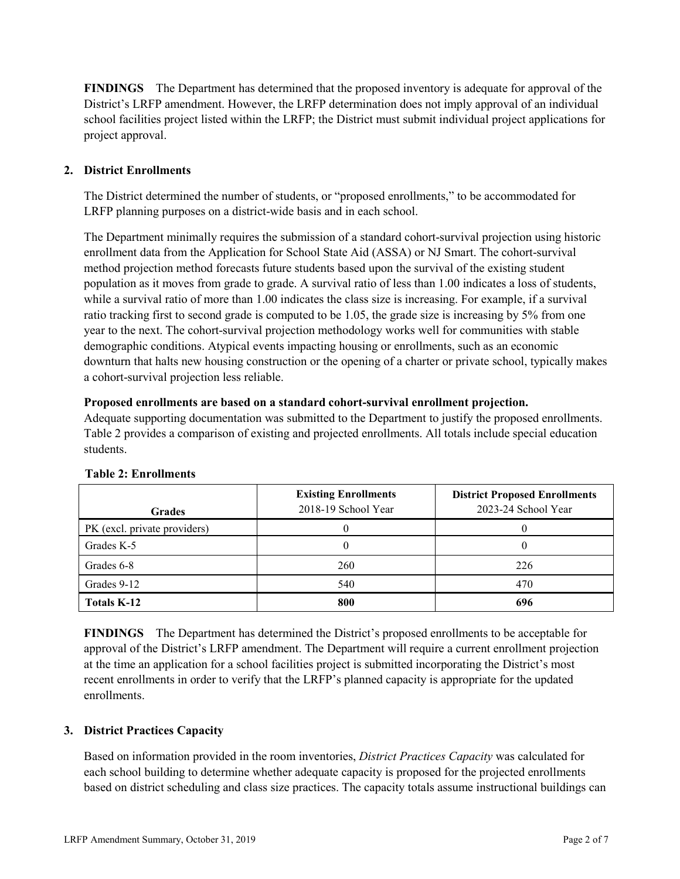**FINDINGS** The Department has determined that the proposed inventory is adequate for approval of the District's LRFP amendment. However, the LRFP determination does not imply approval of an individual school facilities project listed within the LRFP; the District must submit individual project applications for project approval.

# **2. District Enrollments**

The District determined the number of students, or "proposed enrollments," to be accommodated for LRFP planning purposes on a district-wide basis and in each school.

The Department minimally requires the submission of a standard cohort-survival projection using historic enrollment data from the Application for School State Aid (ASSA) or NJ Smart. The cohort-survival method projection method forecasts future students based upon the survival of the existing student population as it moves from grade to grade. A survival ratio of less than 1.00 indicates a loss of students, while a survival ratio of more than 1.00 indicates the class size is increasing. For example, if a survival ratio tracking first to second grade is computed to be 1.05, the grade size is increasing by 5% from one year to the next. The cohort-survival projection methodology works well for communities with stable demographic conditions. Atypical events impacting housing or enrollments, such as an economic downturn that halts new housing construction or the opening of a charter or private school, typically makes a cohort-survival projection less reliable.

#### **Proposed enrollments are based on a standard cohort-survival enrollment projection.**

Adequate supporting documentation was submitted to the Department to justify the proposed enrollments. Table 2 provides a comparison of existing and projected enrollments. All totals include special education students.

| <b>Grades</b>                | <b>Existing Enrollments</b><br>2018-19 School Year | <b>District Proposed Enrollments</b><br>2023-24 School Year |
|------------------------------|----------------------------------------------------|-------------------------------------------------------------|
| PK (excl. private providers) |                                                    |                                                             |
| Grades K-5                   |                                                    |                                                             |
| Grades 6-8                   | 260                                                | 226                                                         |
| Grades 9-12                  | 540                                                | 470                                                         |
| Totals K-12                  | 800                                                | 696                                                         |

#### **Table 2: Enrollments**

**FINDINGS** The Department has determined the District's proposed enrollments to be acceptable for approval of the District's LRFP amendment. The Department will require a current enrollment projection at the time an application for a school facilities project is submitted incorporating the District's most recent enrollments in order to verify that the LRFP's planned capacity is appropriate for the updated enrollments.

# **3. District Practices Capacity**

Based on information provided in the room inventories, *District Practices Capacity* was calculated for each school building to determine whether adequate capacity is proposed for the projected enrollments based on district scheduling and class size practices. The capacity totals assume instructional buildings can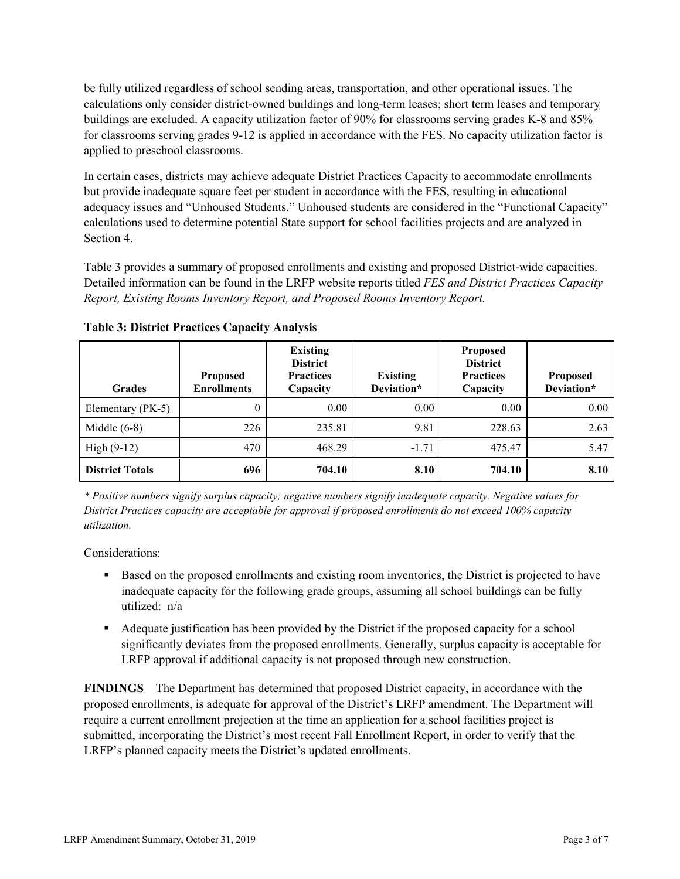be fully utilized regardless of school sending areas, transportation, and other operational issues. The calculations only consider district-owned buildings and long-term leases; short term leases and temporary buildings are excluded. A capacity utilization factor of 90% for classrooms serving grades K-8 and 85% for classrooms serving grades 9-12 is applied in accordance with the FES. No capacity utilization factor is applied to preschool classrooms.

In certain cases, districts may achieve adequate District Practices Capacity to accommodate enrollments but provide inadequate square feet per student in accordance with the FES, resulting in educational adequacy issues and "Unhoused Students." Unhoused students are considered in the "Functional Capacity" calculations used to determine potential State support for school facilities projects and are analyzed in Section 4.

Table 3 provides a summary of proposed enrollments and existing and proposed District-wide capacities. Detailed information can be found in the LRFP website reports titled *FES and District Practices Capacity Report, Existing Rooms Inventory Report, and Proposed Rooms Inventory Report.*

| <b>Grades</b>          | <b>Proposed</b><br><b>Enrollments</b> | <b>Existing</b><br><b>District</b><br><b>Practices</b><br>Capacity | <b>Existing</b><br>Deviation* | <b>Proposed</b><br><b>District</b><br><b>Practices</b><br>Capacity | <b>Proposed</b><br>Deviation* |
|------------------------|---------------------------------------|--------------------------------------------------------------------|-------------------------------|--------------------------------------------------------------------|-------------------------------|
| Elementary (PK-5)      | $\theta$                              | 0.00                                                               | 0.00                          | 0.00                                                               | 0.00                          |
| Middle $(6-8)$         | 226                                   | 235.81                                                             | 9.81                          | 228.63                                                             | 2.63                          |
| High $(9-12)$          | 470                                   | 468.29                                                             | $-1.71$                       | 475.47                                                             | 5.47                          |
| <b>District Totals</b> | 696                                   | 704.10                                                             | 8.10                          | 704.10                                                             | 8.10                          |

**Table 3: District Practices Capacity Analysis**

*\* Positive numbers signify surplus capacity; negative numbers signify inadequate capacity. Negative values for District Practices capacity are acceptable for approval if proposed enrollments do not exceed 100% capacity utilization.*

Considerations:

- **Based on the proposed enrollments and existing room inventories, the District is projected to have** inadequate capacity for the following grade groups, assuming all school buildings can be fully utilized: n/a
- Adequate justification has been provided by the District if the proposed capacity for a school significantly deviates from the proposed enrollments. Generally, surplus capacity is acceptable for LRFP approval if additional capacity is not proposed through new construction.

**FINDINGS**The Department has determined that proposed District capacity, in accordance with the proposed enrollments, is adequate for approval of the District's LRFP amendment. The Department will require a current enrollment projection at the time an application for a school facilities project is submitted, incorporating the District's most recent Fall Enrollment Report, in order to verify that the LRFP's planned capacity meets the District's updated enrollments.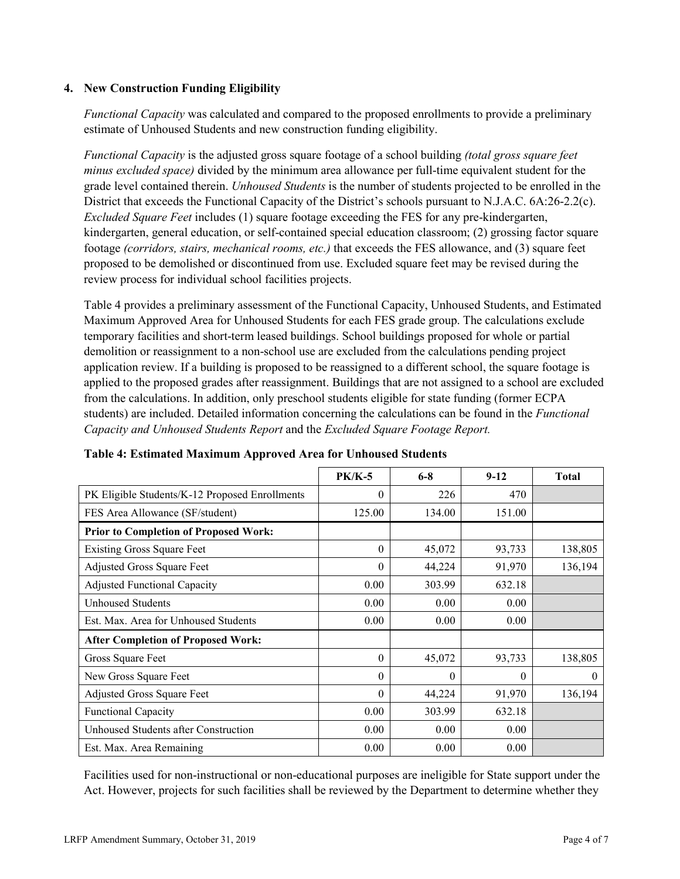### **4. New Construction Funding Eligibility**

*Functional Capacity* was calculated and compared to the proposed enrollments to provide a preliminary estimate of Unhoused Students and new construction funding eligibility.

*Functional Capacity* is the adjusted gross square footage of a school building *(total gross square feet minus excluded space)* divided by the minimum area allowance per full-time equivalent student for the grade level contained therein. *Unhoused Students* is the number of students projected to be enrolled in the District that exceeds the Functional Capacity of the District's schools pursuant to N.J.A.C. 6A:26-2.2(c). *Excluded Square Feet* includes (1) square footage exceeding the FES for any pre-kindergarten, kindergarten, general education, or self-contained special education classroom; (2) grossing factor square footage *(corridors, stairs, mechanical rooms, etc.)* that exceeds the FES allowance, and (3) square feet proposed to be demolished or discontinued from use. Excluded square feet may be revised during the review process for individual school facilities projects.

Table 4 provides a preliminary assessment of the Functional Capacity, Unhoused Students, and Estimated Maximum Approved Area for Unhoused Students for each FES grade group. The calculations exclude temporary facilities and short-term leased buildings. School buildings proposed for whole or partial demolition or reassignment to a non-school use are excluded from the calculations pending project application review. If a building is proposed to be reassigned to a different school, the square footage is applied to the proposed grades after reassignment. Buildings that are not assigned to a school are excluded from the calculations. In addition, only preschool students eligible for state funding (former ECPA students) are included. Detailed information concerning the calculations can be found in the *Functional Capacity and Unhoused Students Report* and the *Excluded Square Footage Report.*

|                                                | <b>PK/K-5</b> | $6 - 8$  | $9 - 12$ | <b>Total</b> |
|------------------------------------------------|---------------|----------|----------|--------------|
| PK Eligible Students/K-12 Proposed Enrollments | 0             | 226      | 470      |              |
| FES Area Allowance (SF/student)                | 125.00        | 134.00   | 151.00   |              |
| <b>Prior to Completion of Proposed Work:</b>   |               |          |          |              |
| <b>Existing Gross Square Feet</b>              | $\theta$      | 45,072   | 93,733   | 138,805      |
| <b>Adjusted Gross Square Feet</b>              | 0             | 44,224   | 91,970   | 136,194      |
| <b>Adjusted Functional Capacity</b>            | 0.00          | 303.99   | 632.18   |              |
| <b>Unhoused Students</b>                       | 0.00          | 0.00     | 0.00     |              |
| Est. Max. Area for Unhoused Students           | 0.00          | 0.00     | 0.00     |              |
| <b>After Completion of Proposed Work:</b>      |               |          |          |              |
| Gross Square Feet                              | $\theta$      | 45,072   | 93,733   | 138,805      |
| New Gross Square Feet                          | $\theta$      | $\theta$ | $\Omega$ | $\theta$     |
| Adjusted Gross Square Feet                     | 0             | 44,224   | 91,970   | 136,194      |
| Functional Capacity                            | 0.00          | 303.99   | 632.18   |              |
| Unhoused Students after Construction           | 0.00          | 0.00     | 0.00     |              |
| Est. Max. Area Remaining                       | 0.00          | 0.00     | 0.00     |              |

#### **Table 4: Estimated Maximum Approved Area for Unhoused Students**

Facilities used for non-instructional or non-educational purposes are ineligible for State support under the Act. However, projects for such facilities shall be reviewed by the Department to determine whether they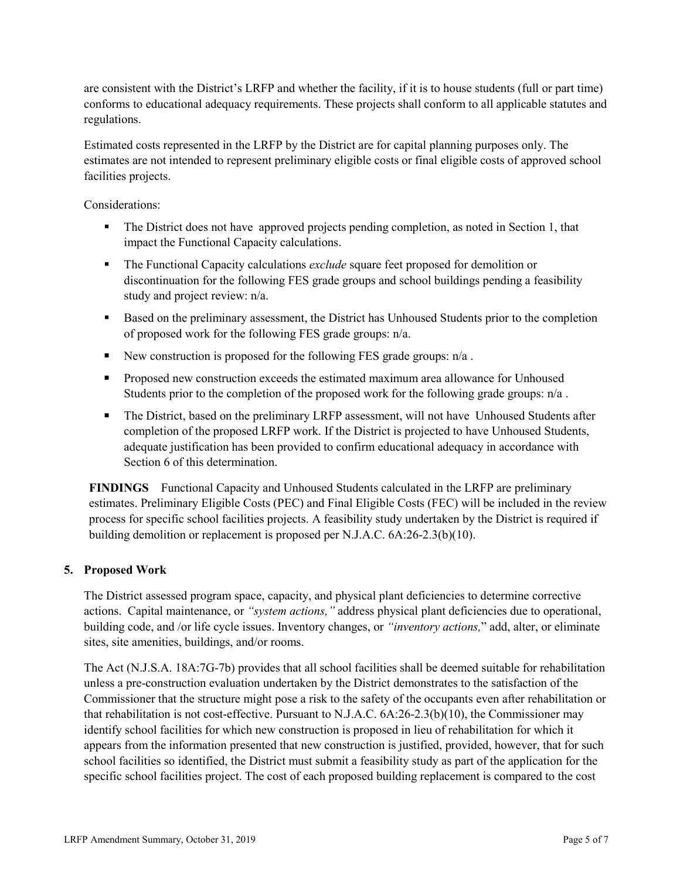are consistent with the District's LRFP and whether the facility, if it is to house students (full or part time) conforms to educational adequacy requirements. These projects shall conform to all applicable statutes and regulations.

Estimated costs represented in the LRFP by the District are for capital planning purposes only. The estimates are not intended to represent preliminary eligible costs or final eligible costs of approved school facilities projects.

Considerations:

- The District does not have approved projects pending completion, as noted in Section 1, that impact the Functional Capacity calculations.
- The Functional Capacity calculations *exclude* square feet proposed for demolition or discontinuation for the following FES grade groups and school buildings pending a feasibility study and project review: n/a.
- Based on the preliminary assessment, the District has Unhoused Students prior to the completion of proposed work for the following FES grade groups: n/a.
- New construction is proposed for the following FES grade groups:  $n/a$ .
- **Proposed new construction exceeds the estimated maximum area allowance for Unhoused** Students prior to the completion of the proposed work for the following grade groups: n/a .
- The District, based on the preliminary LRFP assessment, will not have Unhoused Students after completion of the proposed LRFP work. If the District is projected to have Unhoused Students, adequate justification has been provided to confirm educational adequacy in accordance with Section 6 of this determination.

**FINDINGS** Functional Capacity and Unhoused Students calculated in the LRFP are preliminary estimates. Preliminary Eligible Costs (PEC) and Final Eligible Costs (FEC) will be included in the review process for specific school facilities projects. A feasibility study undertaken by the District is required if building demolition or replacement is proposed per N.J.A.C. 6A:26-2.3(b)(10).

# **5. Proposed Work**

The District assessed program space, capacity, and physical plant deficiencies to determine corrective actions. Capital maintenance, or *"system actions,"* address physical plant deficiencies due to operational, building code, and /or life cycle issues. Inventory changes, or *"inventory actions,*" add, alter, or eliminate sites, site amenities, buildings, and/or rooms.

The Act (N.J.S.A. 18A:7G-7b) provides that all school facilities shall be deemed suitable for rehabilitation unless a pre-construction evaluation undertaken by the District demonstrates to the satisfaction of the Commissioner that the structure might pose a risk to the safety of the occupants even after rehabilitation or that rehabilitation is not cost-effective. Pursuant to N.J.A.C. 6A:26-2.3(b)(10), the Commissioner may identify school facilities for which new construction is proposed in lieu of rehabilitation for which it appears from the information presented that new construction is justified, provided, however, that for such school facilities so identified, the District must submit a feasibility study as part of the application for the specific school facilities project. The cost of each proposed building replacement is compared to the cost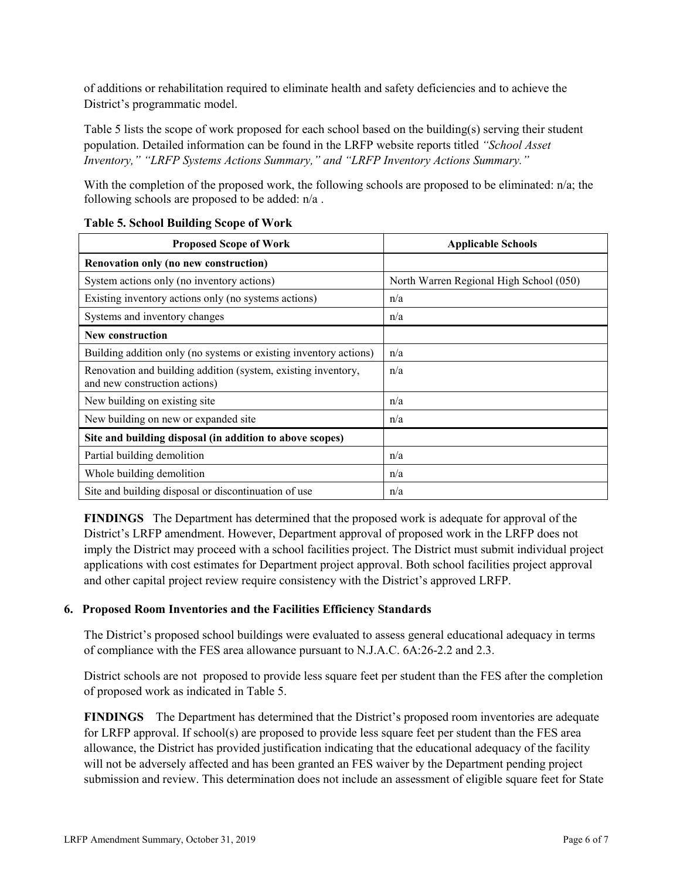of additions or rehabilitation required to eliminate health and safety deficiencies and to achieve the District's programmatic model.

Table 5 lists the scope of work proposed for each school based on the building(s) serving their student population. Detailed information can be found in the LRFP website reports titled *"School Asset Inventory," "LRFP Systems Actions Summary," and "LRFP Inventory Actions Summary."* 

With the completion of the proposed work, the following schools are proposed to be eliminated: n/a; the following schools are proposed to be added: n/a .

| <b>Proposed Scope of Work</b>                                                                  | <b>Applicable Schools</b>               |
|------------------------------------------------------------------------------------------------|-----------------------------------------|
| Renovation only (no new construction)                                                          |                                         |
| System actions only (no inventory actions)                                                     | North Warren Regional High School (050) |
| Existing inventory actions only (no systems actions)                                           | n/a                                     |
| Systems and inventory changes                                                                  | n/a                                     |
| <b>New construction</b>                                                                        |                                         |
| Building addition only (no systems or existing inventory actions)                              | n/a                                     |
| Renovation and building addition (system, existing inventory,<br>and new construction actions) | n/a                                     |
| New building on existing site                                                                  | n/a                                     |
| New building on new or expanded site                                                           | n/a                                     |
| Site and building disposal (in addition to above scopes)                                       |                                         |
| Partial building demolition                                                                    | n/a                                     |
| Whole building demolition                                                                      | n/a                                     |
| Site and building disposal or discontinuation of use                                           | n/a                                     |

#### **Table 5. School Building Scope of Work**

**FINDINGS** The Department has determined that the proposed work is adequate for approval of the District's LRFP amendment. However, Department approval of proposed work in the LRFP does not imply the District may proceed with a school facilities project. The District must submit individual project applications with cost estimates for Department project approval. Both school facilities project approval and other capital project review require consistency with the District's approved LRFP.

# **6. Proposed Room Inventories and the Facilities Efficiency Standards**

The District's proposed school buildings were evaluated to assess general educational adequacy in terms of compliance with the FES area allowance pursuant to N.J.A.C. 6A:26-2.2 and 2.3.

District schools are not proposed to provide less square feet per student than the FES after the completion of proposed work as indicated in Table 5.

**FINDINGS** The Department has determined that the District's proposed room inventories are adequate for LRFP approval. If school(s) are proposed to provide less square feet per student than the FES area allowance, the District has provided justification indicating that the educational adequacy of the facility will not be adversely affected and has been granted an FES waiver by the Department pending project submission and review. This determination does not include an assessment of eligible square feet for State